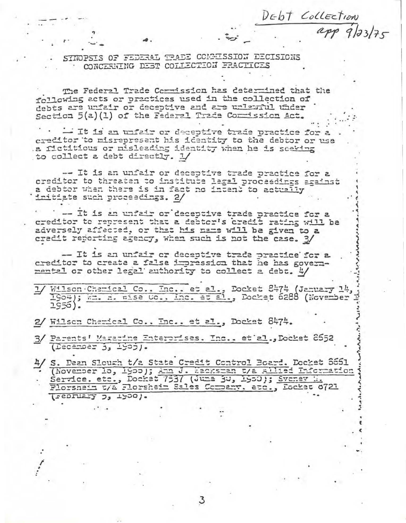SINOPSIS OF FEDERAL TRADE COMMISSION DECISIONS CONCERNING DEST COLLECTION FRACTICES

DEDT Collection

app 9/23/75

The Federal Trade Commission has determined that the following acts or practices used in the collection of debts are unfair or deceptive and are unlawful under Section 5(a)(1) of the Federal Trade Commission Act.

- It is an unfair or deceptive trade practice for a ereditor to misrepresent his identity to the debtor or use a fictitious or misleading identity when he is seeking to collect a debt directly. 1/

-- It is an unfair or deceptive trade practice for a creditor to threaten to institute legal proceedings against a debtor when there is in fact no intent to actually initiate such proceedings. 2/

-- It is an unfair or deceptive trade practice for a creditor to represent that a debtor's credit rating will be adversely affected, or that his name will be given to a credit reporting agency, when such is not the case. 3/

- It is an unfair or deceptive trade practice for a creditor to create a false impression that he has governmental or other legal authority to collect a debt. 4/

Wilson Chemical Co.. Inc.. et al., Docket 8474 (January 14, 1904); When a wise Co.. Inc. et al., Docket 6288 (November 1950).

2/ Wilson Charical Co., Inc., et al., Docket 8474.

3/ Parents' Magazine Enterorises. Inc.. et al., Docket 8552  $($ December  $3, 1900$ .

4/ S. Dean Slough t/2 State Credit Control Board. Docket 8661 (November 15, 1900); Ann J. Wacksman t/a Allied Information Florsnein t/a Florshein Sales Compary, etc., Docket 0721 (sepriary ), 1500).

З